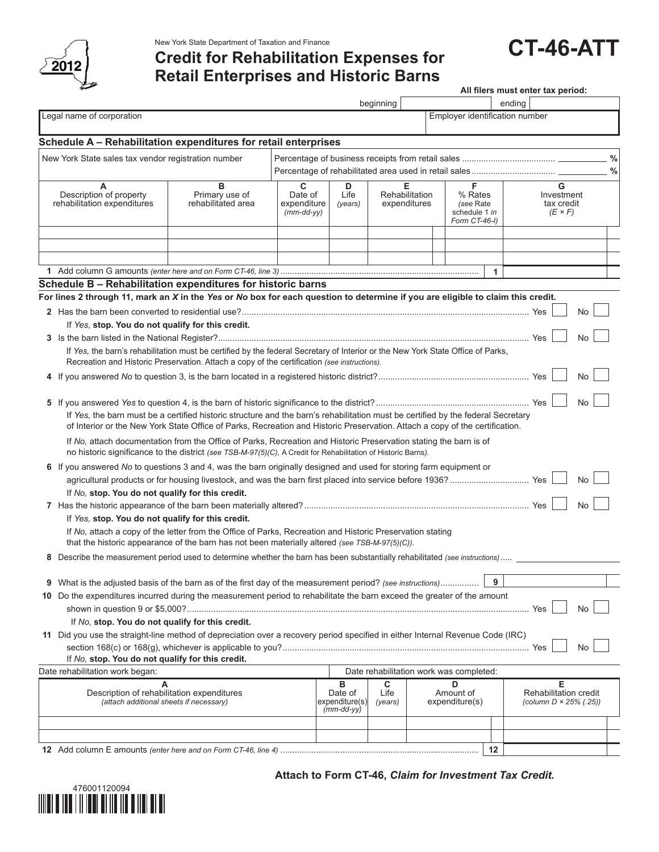

New York State Department of Taxation and Finance<br>Credit for Rehabilitation Expenses for **CT-46-ATT Retail Enterprises and Historic Barns**

Legal name of corporation Employer identification number is expected by the employer identification number **Schedule A – Rehabilitation expenditures for retail enterprises** New York State sales tax vendor registration number Percentage of business receipts from retail sales ....................................... **%** Percentage of rehabilitated area used in retail sales................................... **% A B C D E F G** Description of property Primary use of Date of Life Rehabilitation % Rates Investment<br>
Phabilitation expenditures rehabilitated area expenditure (years) expenditures (see Rate tax credit rehabilitation expenditures rehabilitated area expenditure *(years)* expenditures *(see Rate tax crediture area* expenditures *(see Rate tax crediture f x F) (mm-dd-yy)*  $|$  *(mm-dd-yy)*  $|$  schedule 1 *in*  $(E \times F)$  *Form CT-46-I)* **1** Add column G amounts *(enter here and on Form CT-46, line 3)*................................................................................... **1 Schedule B – Rehabilitation expenditures for historic barns For lines 2 through 11, mark an** *X* **in the** *Yes* **or** *No* **box for each question to determine if you are eligible to claim this credit. 2** Has the barn been converted to residential use?........................................................................................................................ Yes No If *Yes,* **stop. You do not qualify for this credit. 3** Is the barn listed in the National Register?.................................................................................................................................. Yes No If *Yes,* the barn's rehabilitation must be certified by the federal Secretary of Interior or the New York State Office of Parks, Recreation and Historic Preservation. Attach a copy of the certification *(see instructions).* **4** If you answered *No* to question 3, is the barn located in a registered historic district?............................................................... Yes No **5** If you answered *Yes* to question 4, is the barn of historic significance to the district?................................................................ Yes No If *Yes,* the barn must be a certified historic structure and the barn's rehabilitation must be certified by the federal Secretary of Interior or the New York State Office of Parks, Recreation and Historic Preservation. Attach a copy of the certification. If *No,* attach documentation from the Office of Parks, Recreation and Historic Preservation stating the barn is of no historic significance to the district *(see TSB-M-97(5)(C),* A Credit for Rehabilitation of Historic Barns*).* **6** If you answered *No* to questions 3 and 4, was the barn originally designed and used for storing farm equipment or agricultural products or for housing livestock, and was the barn first placed into service before 1936? ................................. Yes No If *No,* **stop. You do not qualify for this credit. 7** Has the historic appearance of the barn been materially altered?.............................................................................................. Yes No If *Yes,* **stop. You do not qualify for this credit.** If *No,* attach a copy of the letter from the Office of Parks, Recreation and Historic Preservation stating that the historic appearance of the barn has not been materially altered *(see TSB-M-97(5)(C)).* **8** Describe the measurement period used to determine whether the barn has been substantially rehabilitated *(see instructions)*..... **9** What is the adjusted basis of the barn as of the first day of the measurement period? *(see instructions)*................ **9 10** Do the expenditures incurred during the measurement period to rehabilitate the barn exceed the greater of the amount shown in question 9 or \$5,000?............................................................................................................................................... Yes No If *No,* **stop. You do not qualify for this credit. 11** Did you use the straight-line method of depreciation over a recovery period specified in either Internal Revenue Code (IRC) section 168(c) or 168(g), whichever is applicable to you?....................................................................................................... Yes No If *No,* **stop. You do not qualify for this credit.** Date rehabilitation work began: Date rehabilitation work was completed: **A B C D E** Description of rehabilitation expenditures <br>(attach additional sheets if necessary) <br>(25) (attach additional sheets if necessary) (expenditure(s) (years) expenditure(s) (column D × 25% (25) *(attach additional sheets if necessary) (mm-dd-yy)* **All filers must enter tax period:** beginning ending

**12** Add column E amounts *(enter here and on Form CT-46, line 4)* ................................................................................... **12**

**Attach to Form CT-46,** *Claim for Investment Tax Credit.*